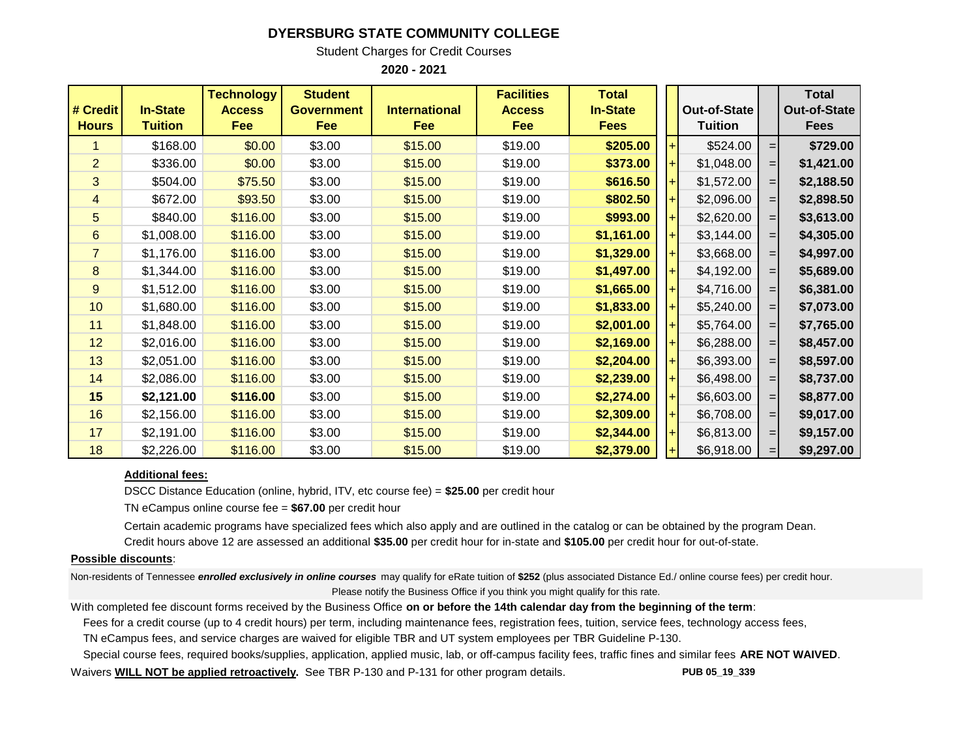## **DYERSBURG STATE COMMUNITY COLLEGE**

Student Charges for Credit Courses

**2020 - 2021**

| # Credit<br><b>Hours</b> | <b>In-State</b><br>Tuition | <b>Technology</b><br><b>Access</b><br>Fee | <b>Student</b><br><b>Government</b><br>Fee | <b>International</b><br>Fee | <b>Facilities</b><br><b>Access</b><br><b>Fee</b> | <b>Total</b><br><b>In-State</b><br><b>Fees</b> | <b>Out-of-State</b><br><b>Tuition</b> |                    | <b>Total</b><br><b>Out-of-State</b><br><b>Fees</b> |
|--------------------------|----------------------------|-------------------------------------------|--------------------------------------------|-----------------------------|--------------------------------------------------|------------------------------------------------|---------------------------------------|--------------------|----------------------------------------------------|
|                          | \$168.00                   | \$0.00                                    | \$3.00                                     | \$15.00                     | \$19.00                                          | \$205.00                                       | \$524.00                              | $=$                | \$729.00                                           |
| $\overline{2}$           | \$336.00                   | \$0.00                                    | \$3.00                                     | \$15.00                     | \$19.00                                          | \$373.00                                       | \$1,048.00                            | $=$                | \$1,421.00                                         |
| 3                        | \$504.00                   | \$75.50                                   | \$3.00                                     | \$15.00                     | \$19.00                                          | \$616.50                                       | \$1,572.00                            | $=$                | \$2,188.50                                         |
| 4                        | \$672.00                   | \$93.50                                   | \$3.00                                     | \$15.00                     | \$19.00                                          | \$802.50                                       | \$2,096.00                            | $=$                | \$2,898.50                                         |
| 5                        | \$840.00                   | \$116.00                                  | \$3.00                                     | \$15.00                     | \$19.00                                          | \$993.00                                       | \$2,620.00                            | $=$                | \$3,613.00                                         |
| $6\phantom{1}$           | \$1,008.00                 | \$116.00                                  | \$3.00                                     | \$15.00                     | \$19.00                                          | \$1,161.00                                     | \$3,144.00                            | $=$                | \$4,305.00                                         |
| $\overline{7}$           | \$1,176.00                 | \$116.00                                  | \$3.00                                     | \$15.00                     | \$19.00                                          | \$1,329.00                                     | \$3,668.00                            | $=$                | \$4,997.00                                         |
| 8                        | \$1,344.00                 | \$116.00                                  | \$3.00                                     | \$15.00                     | \$19.00                                          | \$1,497.00                                     | \$4,192.00                            | $=$                | \$5,689.00                                         |
| 9                        | \$1,512.00                 | \$116.00                                  | \$3.00                                     | \$15.00                     | \$19.00                                          | \$1,665.00                                     | \$4,716.00                            | $=$                | \$6,381.00                                         |
| 10                       | \$1,680.00                 | \$116.00                                  | \$3.00                                     | \$15.00                     | \$19.00                                          | \$1,833.00                                     | \$5,240.00                            | $=$                | \$7,073.00                                         |
| 11                       | \$1,848.00                 | \$116.00                                  | \$3.00                                     | \$15.00                     | \$19.00                                          | \$2,001.00                                     | \$5,764.00                            | $=$                | \$7,765.00                                         |
| 12                       | \$2,016.00                 | \$116.00                                  | \$3.00                                     | \$15.00                     | \$19.00                                          | \$2,169.00                                     | \$6,288.00                            | $=$                | \$8,457.00                                         |
| 13                       | \$2,051.00                 | \$116.00                                  | \$3.00                                     | \$15.00                     | \$19.00                                          | \$2,204.00                                     | \$6,393.00                            | $=$                | \$8,597.00                                         |
| 14                       | \$2,086.00                 | \$116.00                                  | \$3.00                                     | \$15.00                     | \$19.00                                          | \$2,239.00                                     | \$6,498.00                            | $=$                | \$8,737.00                                         |
| 15                       | \$2,121.00                 | \$116.00                                  | \$3.00                                     | \$15.00                     | \$19.00                                          | \$2,274.00                                     | \$6,603.00                            | $=$                | \$8,877.00                                         |
| 16                       | \$2,156.00                 | \$116.00                                  | \$3.00                                     | \$15.00                     | \$19.00                                          | \$2,309.00                                     | \$6,708.00                            | $=$                | \$9,017.00                                         |
| 17                       | \$2,191.00                 | \$116.00                                  | \$3.00                                     | \$15.00                     | \$19.00                                          | \$2,344.00                                     | \$6,813.00                            | $=$                | \$9,157.00                                         |
| 18                       | \$2,226.00                 | \$116.00                                  | \$3.00                                     | \$15.00                     | \$19.00                                          | \$2,379.00                                     | \$6,918.00                            | $=$ $\blacksquare$ | \$9,297.00                                         |

## **Additional fees:**

DSCC Distance Education (online, hybrid, ITV, etc course fee) = **\$25.00** per credit hour

TN eCampus online course fee = **\$67.00** per credit hour

Certain academic programs have specialized fees which also apply and are outlined in the catalog or can be obtained by the program Dean. Credit hours above 12 are assessed an additional **\$35.00** per credit hour for in-state and **\$105.00** per credit hour for out-of-state.

## **Possible discounts**:

Non-residents of Tennessee *enrolled exclusively in online courses* may qualify for eRate tuition of **\$252** (plus associated Distance Ed./ online course fees) per credit hour. Please notify the Business Office if you think you might qualify for this rate.

With completed fee discount forms received by the Business Office **on or before the 14th calendar day from the beginning of the term**:

 Fees for a credit course (up to 4 credit hours) per term, including maintenance fees, registration fees, tuition, service fees, technology access fees, TN eCampus fees, and service charges are waived for eligible TBR and UT system employees per TBR Guideline P-130.

Special course fees, required books/supplies, application, applied music, lab, or off-campus facility fees, traffic fines and similar fees **ARE NOT WAIVED**.

Waivers **WILL NOT be applied retroactively.** See TBR P-130 and P-131 for other program details. **PUB 05\_19\_339**